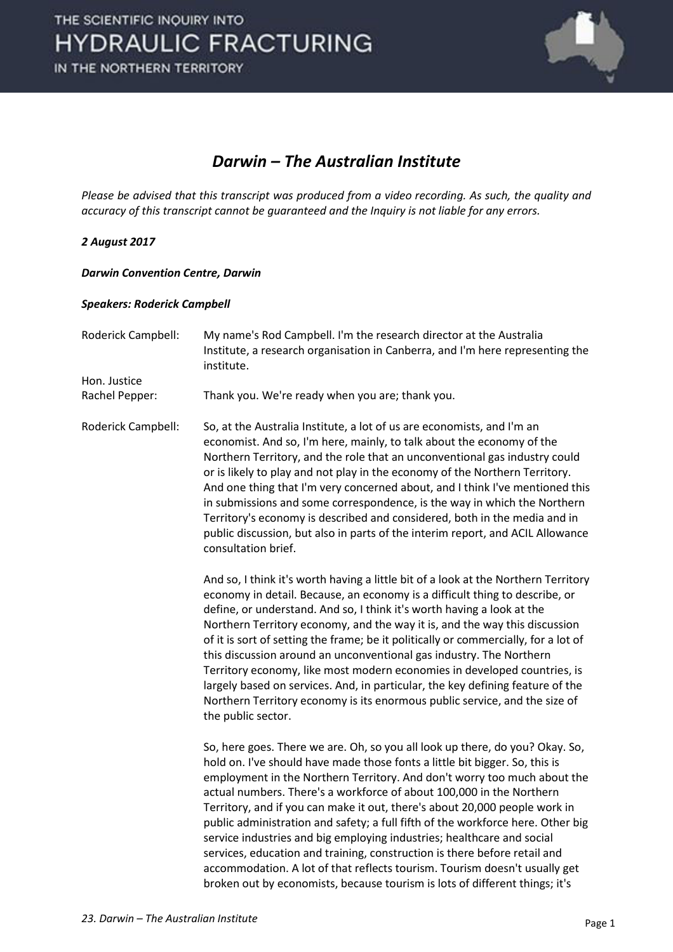

### *Darwin – The Australian Institute*

*Please be advised that this transcript was produced from a video recording. As such, the quality and accuracy of this transcript cannot be guaranteed and the Inquiry is not liable for any errors.* 

#### *2 August 2017*

#### *Darwin Convention Centre, Darwin*

#### *Speakers: Roderick Campbell*

| Roderick Campbell:             | My name's Rod Campbell. I'm the research director at the Australia<br>Institute, a research organisation in Canberra, and I'm here representing the<br>institute.                                                                                                                                                                                                                                                                                                                                                                                                                                                                                                                                                                                                                                    |
|--------------------------------|------------------------------------------------------------------------------------------------------------------------------------------------------------------------------------------------------------------------------------------------------------------------------------------------------------------------------------------------------------------------------------------------------------------------------------------------------------------------------------------------------------------------------------------------------------------------------------------------------------------------------------------------------------------------------------------------------------------------------------------------------------------------------------------------------|
| Hon. Justice<br>Rachel Pepper: | Thank you. We're ready when you are; thank you.                                                                                                                                                                                                                                                                                                                                                                                                                                                                                                                                                                                                                                                                                                                                                      |
| Roderick Campbell:             | So, at the Australia Institute, a lot of us are economists, and I'm an<br>economist. And so, I'm here, mainly, to talk about the economy of the<br>Northern Territory, and the role that an unconventional gas industry could<br>or is likely to play and not play in the economy of the Northern Territory.<br>And one thing that I'm very concerned about, and I think I've mentioned this<br>in submissions and some correspondence, is the way in which the Northern<br>Territory's economy is described and considered, both in the media and in<br>public discussion, but also in parts of the interim report, and ACIL Allowance<br>consultation brief.                                                                                                                                       |
|                                | And so, I think it's worth having a little bit of a look at the Northern Territory<br>economy in detail. Because, an economy is a difficult thing to describe, or<br>define, or understand. And so, I think it's worth having a look at the<br>Northern Territory economy, and the way it is, and the way this discussion<br>of it is sort of setting the frame; be it politically or commercially, for a lot of<br>this discussion around an unconventional gas industry. The Northern<br>Territory economy, like most modern economies in developed countries, is<br>largely based on services. And, in particular, the key defining feature of the<br>Northern Territory economy is its enormous public service, and the size of<br>the public sector.                                            |
|                                | So, here goes. There we are. Oh, so you all look up there, do you? Okay. So,<br>hold on. I've should have made those fonts a little bit bigger. So, this is<br>employment in the Northern Territory. And don't worry too much about the<br>actual numbers. There's a workforce of about 100,000 in the Northern<br>Territory, and if you can make it out, there's about 20,000 people work in<br>public administration and safety; a full fifth of the workforce here. Other big<br>service industries and big employing industries; healthcare and social<br>services, education and training, construction is there before retail and<br>accommodation. A lot of that reflects tourism. Tourism doesn't usually get<br>broken out by economists, because tourism is lots of different things; it's |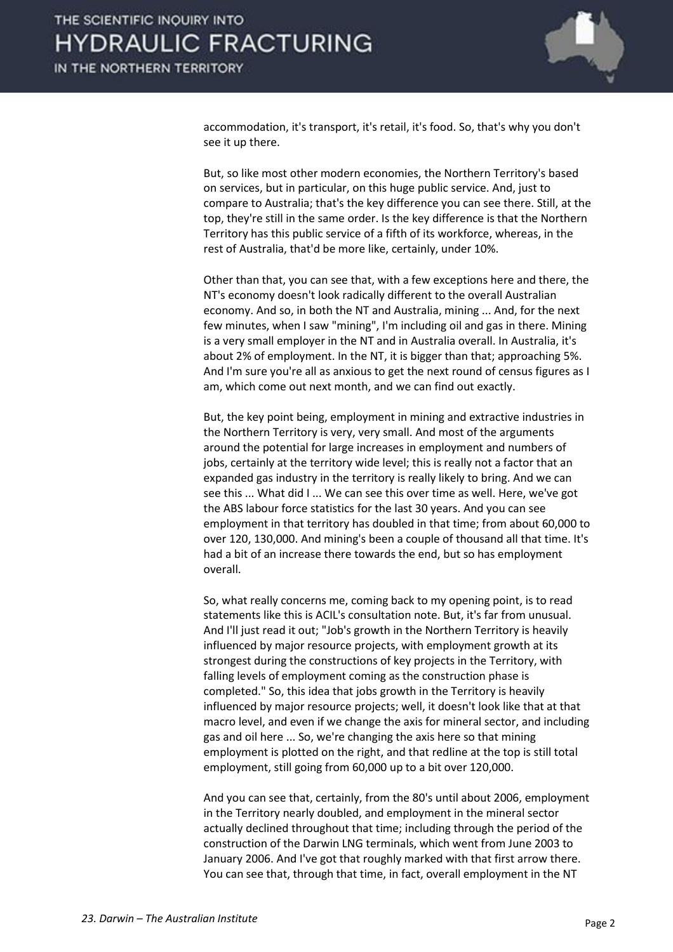

accommodation, it's transport, it's retail, it's food. So, that's why you don't see it up there.

 But, so like most other modern economies, the Northern Territory's based on services, but in particular, on this huge public service. And, just to compare to Australia; that's the key difference you can see there. Still, at the top, they're still in the same order. Is the key difference is that the Northern Territory has this public service of a fifth of its workforce, whereas, in the rest of Australia, that'd be more like, certainly, under 10%.

 Other than that, you can see that, with a few exceptions here and there, the NT's economy doesn't look radically different to the overall Australian economy. And so, in both the NT and Australia, mining ... And, for the next few minutes, when I saw "mining", I'm including oil and gas in there. Mining is a very small employer in the NT and in Australia overall. In Australia, it's about 2% of employment. In the NT, it is bigger than that; approaching 5%. And I'm sure you're all as anxious to get the next round of census figures as I am, which come out next month, and we can find out exactly.

 But, the key point being, employment in mining and extractive industries in the Northern Territory is very, very small. And most of the arguments around the potential for large increases in employment and numbers of jobs, certainly at the territory wide level; this is really not a factor that an expanded gas industry in the territory is really likely to bring. And we can see this ... What did I ... We can see this over time as well. Here, we've got the ABS labour force statistics for the last 30 years. And you can see employment in that territory has doubled in that time; from about 60,000 to over 120, 130,000. And mining's been a couple of thousand all that time. It's had a bit of an increase there towards the end, but so has employment overall.

 So, what really concerns me, coming back to my opening point, is to read statements like this is ACIL's consultation note. But, it's far from unusual. And I'll just read it out; "Job's growth in the Northern Territory is heavily influenced by major resource projects, with employment growth at its strongest during the constructions of key projects in the Territory, with falling levels of employment coming as the construction phase is completed." So, this idea that jobs growth in the Territory is heavily influenced by major resource projects; well, it doesn't look like that at that macro level, and even if we change the axis for mineral sector, and including gas and oil here ... So, we're changing the axis here so that mining employment is plotted on the right, and that redline at the top is still total employment, still going from 60,000 up to a bit over 120,000.

 And you can see that, certainly, from the 80's until about 2006, employment in the Territory nearly doubled, and employment in the mineral sector actually declined throughout that time; including through the period of the construction of the Darwin LNG terminals, which went from June 2003 to January 2006. And I've got that roughly marked with that first arrow there. You can see that, through that time, in fact, overall employment in the NT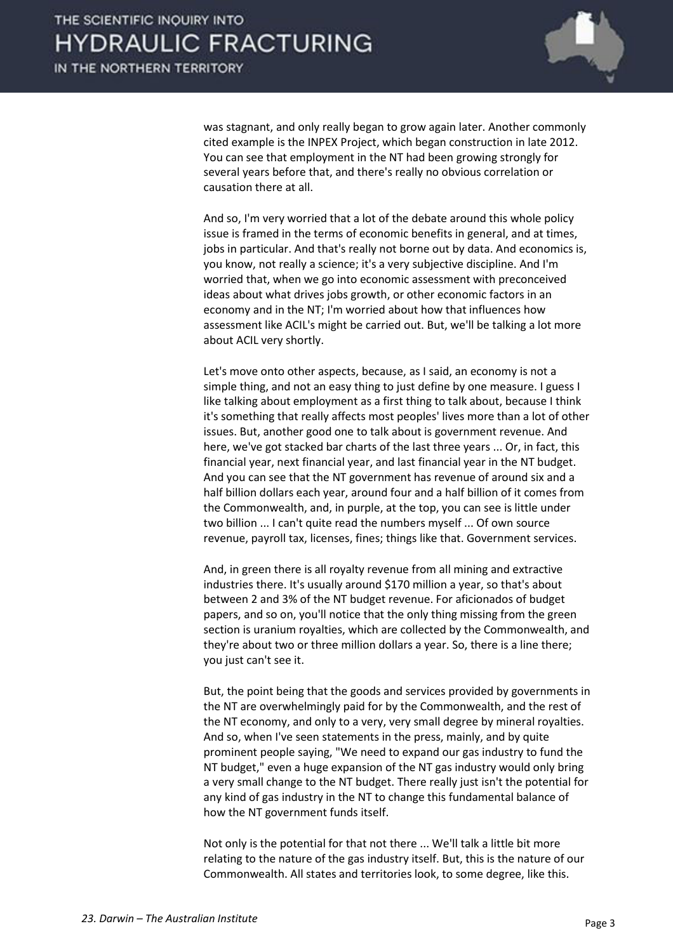was stagnant, and only really began to grow again later. Another commonly cited example is the INPEX Project, which began construction in late 2012. You can see that employment in the NT had been growing strongly for several years before that, and there's really no obvious correlation or causation there at all.

 And so, I'm very worried that a lot of the debate around this whole policy issue is framed in the terms of economic benefits in general, and at times, jobs in particular. And that's really not borne out by data. And economics is, you know, not really a science; it's a very subjective discipline. And I'm worried that, when we go into economic assessment with preconceived ideas about what drives jobs growth, or other economic factors in an economy and in the NT; I'm worried about how that influences how assessment like ACIL's might be carried out. But, we'll be talking a lot more about ACIL very shortly.

 Let's move onto other aspects, because, as I said, an economy is not a simple thing, and not an easy thing to just define by one measure. I guess I like talking about employment as a first thing to talk about, because I think it's something that really affects most peoples' lives more than a lot of other issues. But, another good one to talk about is government revenue. And here, we've got stacked bar charts of the last three years ... Or, in fact, this financial year, next financial year, and last financial year in the NT budget. And you can see that the NT government has revenue of around six and a half billion dollars each year, around four and a half billion of it comes from the Commonwealth, and, in purple, at the top, you can see is little under two billion ... I can't quite read the numbers myself ... Of own source revenue, payroll tax, licenses, fines; things like that. Government services.

 And, in green there is all royalty revenue from all mining and extractive industries there. It's usually around \$170 million a year, so that's about between 2 and 3% of the NT budget revenue. For aficionados of budget papers, and so on, you'll notice that the only thing missing from the green section is uranium royalties, which are collected by the Commonwealth, and they're about two or three million dollars a year. So, there is a line there; you just can't see it.

 But, the point being that the goods and services provided by governments in the NT are overwhelmingly paid for by the Commonwealth, and the rest of the NT economy, and only to a very, very small degree by mineral royalties. And so, when I've seen statements in the press, mainly, and by quite prominent people saying, "We need to expand our gas industry to fund the NT budget," even a huge expansion of the NT gas industry would only bring a very small change to the NT budget. There really just isn't the potential for any kind of gas industry in the NT to change this fundamental balance of how the NT government funds itself.

 Not only is the potential for that not there ... We'll talk a little bit more relating to the nature of the gas industry itself. But, this is the nature of our Commonwealth. All states and territories look, to some degree, like this.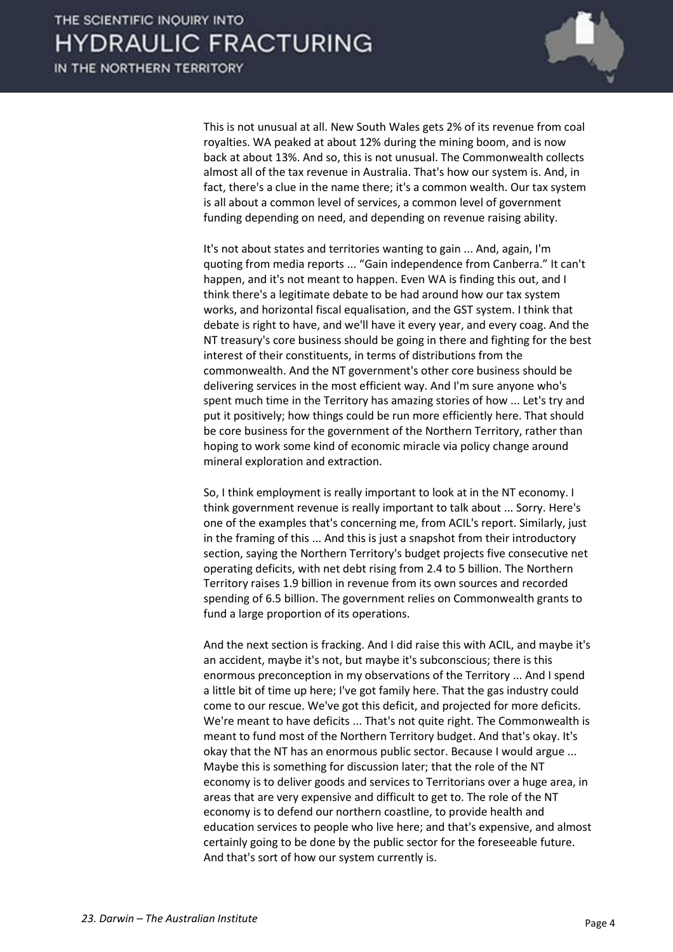IN THE NORTHERN TERRITORY



This is not unusual at all. New South Wales gets 2% of its revenue from coal royalties. WA peaked at about 12% during the mining boom, and is now back at about 13%. And so, this is not unusual. The Commonwealth collects almost all of the tax revenue in Australia. That's how our system is. And, in fact, there's a clue in the name there; it's a common wealth. Our tax system is all about a common level of services, a common level of government funding depending on need, and depending on revenue raising ability.

 It's not about states and territories wanting to gain ... And, again, I'm quoting from media reports ... "Gain independence from Canberra." It can't happen, and it's not meant to happen. Even WA is finding this out, and I think there's a legitimate debate to be had around how our tax system works, and horizontal fiscal equalisation, and the GST system. I think that debate is right to have, and we'll have it every year, and every coag. And the NT treasury's core business should be going in there and fighting for the best interest of their constituents, in terms of distributions from the commonwealth. And the NT government's other core business should be delivering services in the most efficient way. And I'm sure anyone who's spent much time in the Territory has amazing stories of how ... Let's try and put it positively; how things could be run more efficiently here. That should be core business for the government of the Northern Territory, rather than hoping to work some kind of economic miracle via policy change around mineral exploration and extraction.

 So, I think employment is really important to look at in the NT economy. I think government revenue is really important to talk about ... Sorry. Here's one of the examples that's concerning me, from ACIL's report. Similarly, just in the framing of this ... And this is just a snapshot from their introductory section, saying the Northern Territory's budget projects five consecutive net operating deficits, with net debt rising from 2.4 to 5 billion. The Northern Territory raises 1.9 billion in revenue from its own sources and recorded spending of 6.5 billion. The government relies on Commonwealth grants to fund a large proportion of its operations.

 And the next section is fracking. And I did raise this with ACIL, and maybe it's an accident, maybe it's not, but maybe it's subconscious; there is this enormous preconception in my observations of the Territory ... And I spend a little bit of time up here; I've got family here. That the gas industry could come to our rescue. We've got this deficit, and projected for more deficits. We're meant to have deficits ... That's not quite right. The Commonwealth is meant to fund most of the Northern Territory budget. And that's okay. It's okay that the NT has an enormous public sector. Because I would argue ... Maybe this is something for discussion later; that the role of the NT economy is to deliver goods and services to Territorians over a huge area, in areas that are very expensive and difficult to get to. The role of the NT economy is to defend our northern coastline, to provide health and education services to people who live here; and that's expensive, and almost certainly going to be done by the public sector for the foreseeable future. And that's sort of how our system currently is.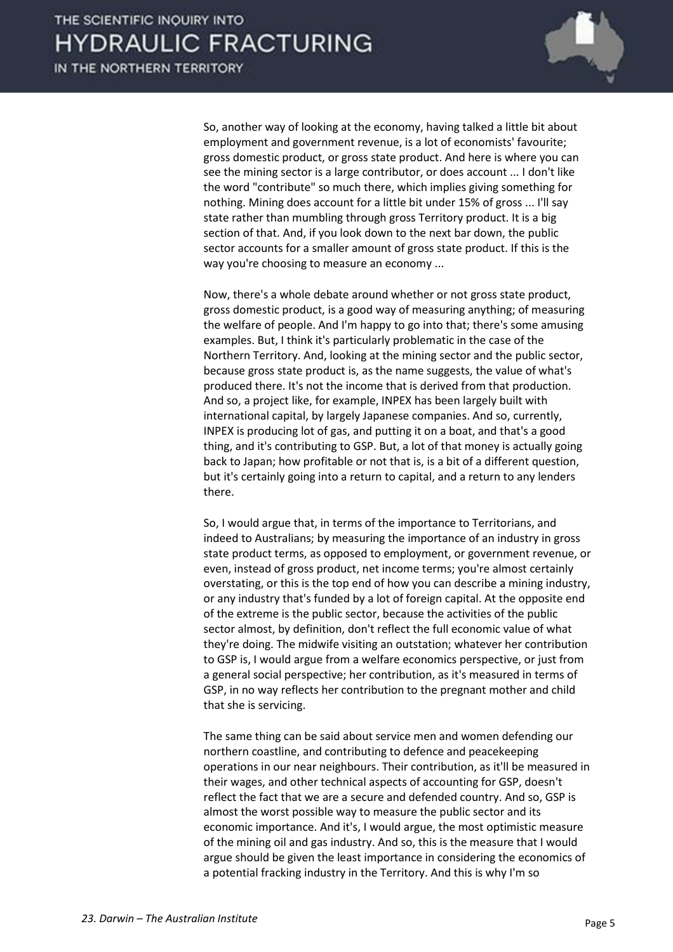

 So, another way of looking at the economy, having talked a little bit about employment and government revenue, is a lot of economists' favourite; gross domestic product, or gross state product. And here is where you can see the mining sector is a large contributor, or does account ... I don't like the word "contribute" so much there, which implies giving something for nothing. Mining does account for a little bit under 15% of gross ... I'll say state rather than mumbling through gross Territory product. It is a big section of that. And, if you look down to the next bar down, the public sector accounts for a smaller amount of gross state product. If this is the way you're choosing to measure an economy ...

 Now, there's a whole debate around whether or not gross state product, gross domestic product, is a good way of measuring anything; of measuring the welfare of people. And I'm happy to go into that; there's some amusing examples. But, I think it's particularly problematic in the case of the Northern Territory. And, looking at the mining sector and the public sector, because gross state product is, as the name suggests, the value of what's produced there. It's not the income that is derived from that production. And so, a project like, for example, INPEX has been largely built with international capital, by largely Japanese companies. And so, currently, INPEX is producing lot of gas, and putting it on a boat, and that's a good thing, and it's contributing to GSP. But, a lot of that money is actually going back to Japan; how profitable or not that is, is a bit of a different question, but it's certainly going into a return to capital, and a return to any lenders there.

 So, I would argue that, in terms of the importance to Territorians, and indeed to Australians; by measuring the importance of an industry in gross state product terms, as opposed to employment, or government revenue, or even, instead of gross product, net income terms; you're almost certainly overstating, or this is the top end of how you can describe a mining industry, or any industry that's funded by a lot of foreign capital. At the opposite end of the extreme is the public sector, because the activities of the public sector almost, by definition, don't reflect the full economic value of what they're doing. The midwife visiting an outstation; whatever her contribution to GSP is, I would argue from a welfare economics perspective, or just from a general social perspective; her contribution, as it's measured in terms of GSP, in no way reflects her contribution to the pregnant mother and child that she is servicing.

 The same thing can be said about service men and women defending our northern coastline, and contributing to defence and peacekeeping operations in our near neighbours. Their contribution, as it'll be measured in their wages, and other technical aspects of accounting for GSP, doesn't reflect the fact that we are a secure and defended country. And so, GSP is almost the worst possible way to measure the public sector and its economic importance. And it's, I would argue, the most optimistic measure of the mining oil and gas industry. And so, this is the measure that I would argue should be given the least importance in considering the economics of a potential fracking industry in the Territory. And this is why I'm so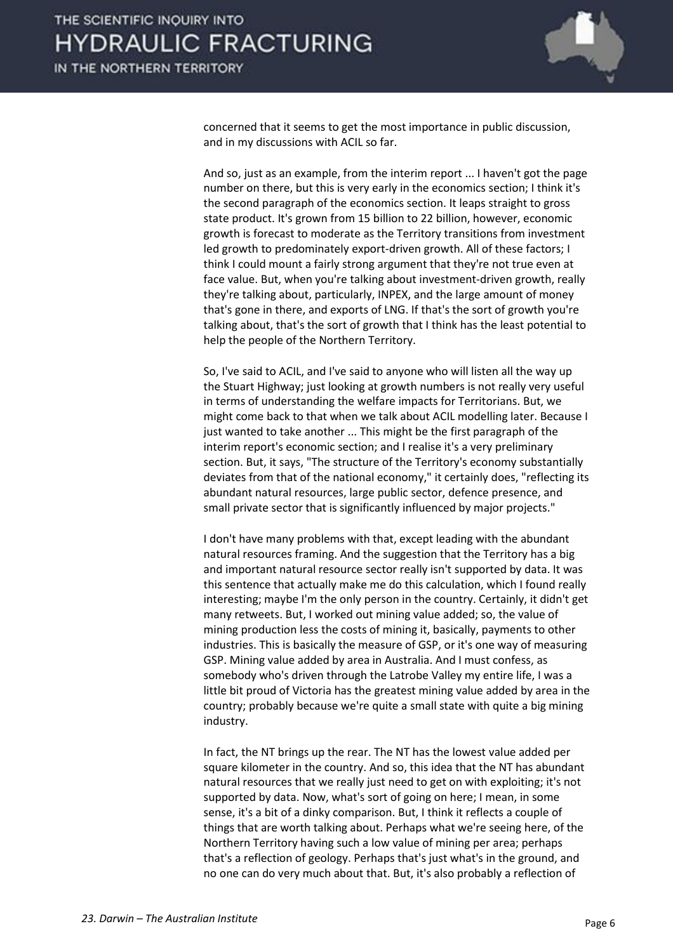

concerned that it seems to get the most importance in public discussion, and in my discussions with ACIL so far.

 And so, just as an example, from the interim report ... I haven't got the page number on there, but this is very early in the economics section; I think it's the second paragraph of the economics section. It leaps straight to gross state product. It's grown from 15 billion to 22 billion, however, economic growth is forecast to moderate as the Territory transitions from investment led growth to predominately export-driven growth. All of these factors; I think I could mount a fairly strong argument that they're not true even at face value. But, when you're talking about investment-driven growth, really they're talking about, particularly, INPEX, and the large amount of money that's gone in there, and exports of LNG. If that's the sort of growth you're talking about, that's the sort of growth that I think has the least potential to help the people of the Northern Territory.

 So, I've said to ACIL, and I've said to anyone who will listen all the way up the Stuart Highway; just looking at growth numbers is not really very useful in terms of understanding the welfare impacts for Territorians. But, we might come back to that when we talk about ACIL modelling later. Because I just wanted to take another ... This might be the first paragraph of the interim report's economic section; and I realise it's a very preliminary section. But, it says, "The structure of the Territory's economy substantially deviates from that of the national economy," it certainly does, "reflecting its abundant natural resources, large public sector, defence presence, and small private sector that is significantly influenced by major projects."

 I don't have many problems with that, except leading with the abundant natural resources framing. And the suggestion that the Territory has a big and important natural resource sector really isn't supported by data. It was this sentence that actually make me do this calculation, which I found really interesting; maybe I'm the only person in the country. Certainly, it didn't get many retweets. But, I worked out mining value added; so, the value of mining production less the costs of mining it, basically, payments to other industries. This is basically the measure of GSP, or it's one way of measuring GSP. Mining value added by area in Australia. And I must confess, as somebody who's driven through the Latrobe Valley my entire life, I was a little bit proud of Victoria has the greatest mining value added by area in the country; probably because we're quite a small state with quite a big mining industry.

 In fact, the NT brings up the rear. The NT has the lowest value added per square kilometer in the country. And so, this idea that the NT has abundant natural resources that we really just need to get on with exploiting; it's not supported by data. Now, what's sort of going on here; I mean, in some sense, it's a bit of a dinky comparison. But, I think it reflects a couple of things that are worth talking about. Perhaps what we're seeing here, of the Northern Territory having such a low value of mining per area; perhaps that's a reflection of geology. Perhaps that's just what's in the ground, and no one can do very much about that. But, it's also probably a reflection of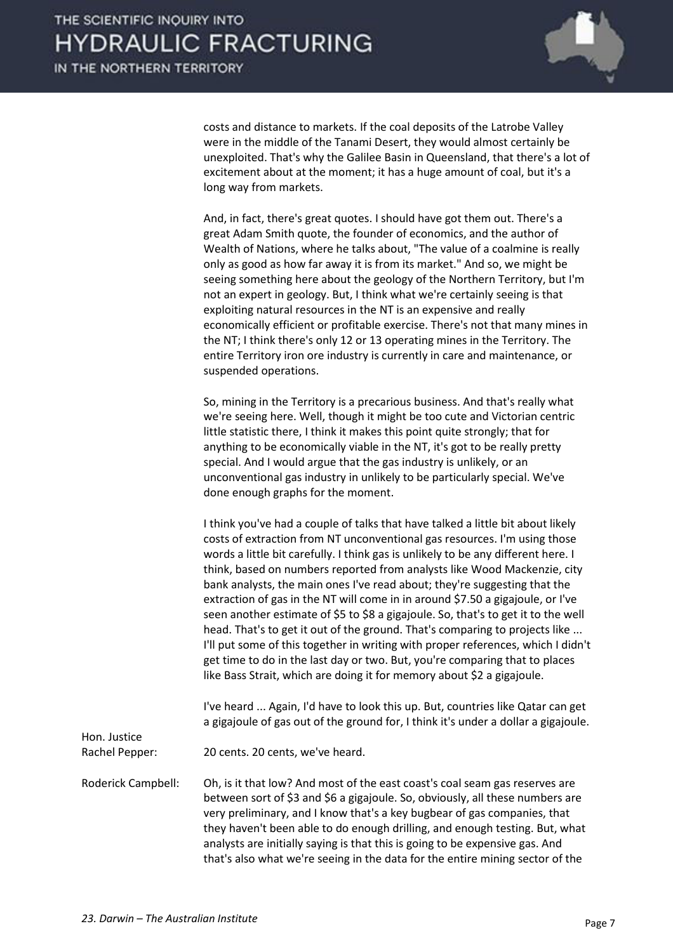costs and distance to markets. If the coal deposits of the Latrobe Valley were in the middle of the Tanami Desert, they would almost certainly be unexploited. That's why the Galilee Basin in Queensland, that there's a lot of excitement about at the moment; it has a huge amount of coal, but it's a long way from markets.

 And, in fact, there's great quotes. I should have got them out. There's a great Adam Smith quote, the founder of economics, and the author of Wealth of Nations, where he talks about, "The value of a coalmine is really only as good as how far away it is from its market." And so, we might be seeing something here about the geology of the Northern Territory, but I'm not an expert in geology. But, I think what we're certainly seeing is that exploiting natural resources in the NT is an expensive and really economically efficient or profitable exercise. There's not that many mines in the NT; I think there's only 12 or 13 operating mines in the Territory. The entire Territory iron ore industry is currently in care and maintenance, or suspended operations.

 So, mining in the Territory is a precarious business. And that's really what we're seeing here. Well, though it might be too cute and Victorian centric little statistic there, I think it makes this point quite strongly; that for anything to be economically viable in the NT, it's got to be really pretty special. And I would argue that the gas industry is unlikely, or an unconventional gas industry in unlikely to be particularly special. We've done enough graphs for the moment.

 I think you've had a couple of talks that have talked a little bit about likely costs of extraction from NT unconventional gas resources. I'm using those words a little bit carefully. I think gas is unlikely to be any different here. I think, based on numbers reported from analysts like Wood Mackenzie, city bank analysts, the main ones I've read about; they're suggesting that the extraction of gas in the NT will come in in around \$7.50 a gigajoule, or I've seen another estimate of \$5 to \$8 a gigajoule. So, that's to get it to the well head. That's to get it out of the ground. That's comparing to projects like ... I'll put some of this together in writing with proper references, which I didn't get time to do in the last day or two. But, you're comparing that to places like Bass Strait, which are doing it for memory about \$2 a gigajoule.

 I've heard ... Again, I'd have to look this up. But, countries like Qatar can get a gigajoule of gas out of the ground for, I think it's under a dollar a gigajoule.

Rachel Pepper: 20 cents. 20 cents, we've heard.

Roderick Campbell: Oh, is it that low? And most of the east coast's coal seam gas reserves are between sort of \$3 and \$6 a gigajoule. So, obviously, all these numbers are very preliminary, and I know that's a key bugbear of gas companies, that they haven't been able to do enough drilling, and enough testing. But, what analysts are initially saying is that this is going to be expensive gas. And that's also what we're seeing in the data for the entire mining sector of the

Hon. Justice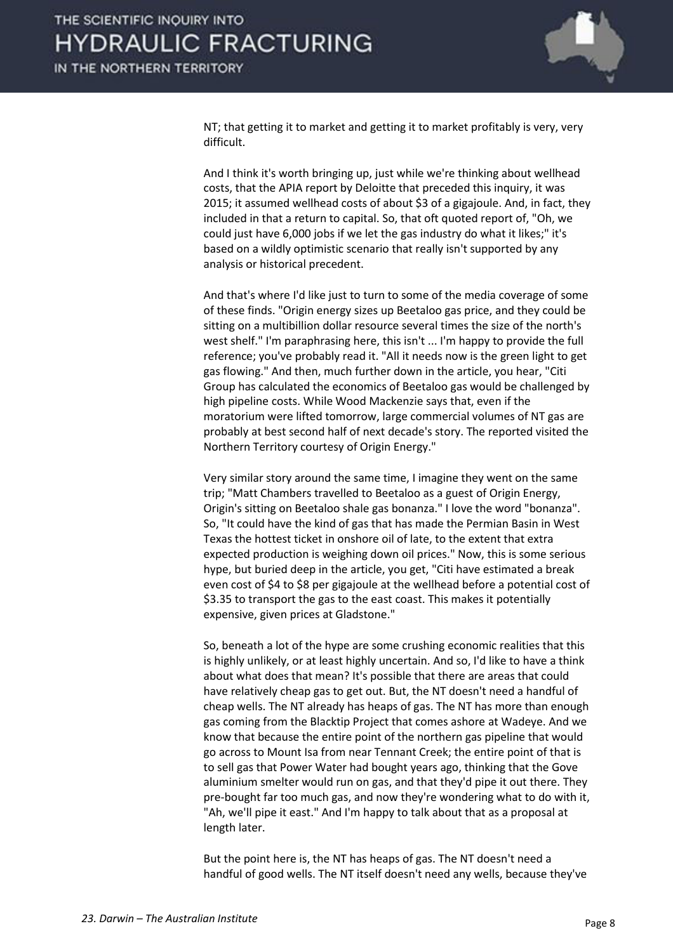

NT; that getting it to market and getting it to market profitably is very, very difficult.

 And I think it's worth bringing up, just while we're thinking about wellhead costs, that the APIA report by Deloitte that preceded this inquiry, it was 2015; it assumed wellhead costs of about \$3 of a gigajoule. And, in fact, they included in that a return to capital. So, that oft quoted report of, "Oh, we could just have 6,000 jobs if we let the gas industry do what it likes;" it's based on a wildly optimistic scenario that really isn't supported by any analysis or historical precedent.

 And that's where I'd like just to turn to some of the media coverage of some of these finds. "Origin energy sizes up Beetaloo gas price, and they could be sitting on a multibillion dollar resource several times the size of the north's west shelf." I'm paraphrasing here, this isn't ... I'm happy to provide the full reference; you've probably read it. "All it needs now is the green light to get gas flowing." And then, much further down in the article, you hear, "Citi Group has calculated the economics of Beetaloo gas would be challenged by high pipeline costs. While Wood Mackenzie says that, even if the moratorium were lifted tomorrow, large commercial volumes of NT gas are probably at best second half of next decade's story. The reported visited the Northern Territory courtesy of Origin Energy."

 Very similar story around the same time, I imagine they went on the same trip; "Matt Chambers travelled to Beetaloo as a guest of Origin Energy, Origin's sitting on Beetaloo shale gas bonanza." I love the word "bonanza". So, "It could have the kind of gas that has made the Permian Basin in West Texas the hottest ticket in onshore oil of late, to the extent that extra expected production is weighing down oil prices." Now, this is some serious hype, but buried deep in the article, you get, "Citi have estimated a break even cost of \$4 to \$8 per gigajoule at the wellhead before a potential cost of \$3.35 to transport the gas to the east coast. This makes it potentially expensive, given prices at Gladstone."

 So, beneath a lot of the hype are some crushing economic realities that this is highly unlikely, or at least highly uncertain. And so, I'd like to have a think about what does that mean? It's possible that there are areas that could have relatively cheap gas to get out. But, the NT doesn't need a handful of cheap wells. The NT already has heaps of gas. The NT has more than enough gas coming from the Blacktip Project that comes ashore at Wadeye. And we know that because the entire point of the northern gas pipeline that would go across to Mount Isa from near Tennant Creek; the entire point of that is to sell gas that Power Water had bought years ago, thinking that the Gove aluminium smelter would run on gas, and that they'd pipe it out there. They pre-bought far too much gas, and now they're wondering what to do with it, "Ah, we'll pipe it east." And I'm happy to talk about that as a proposal at length later.

 But the point here is, the NT has heaps of gas. The NT doesn't need a handful of good wells. The NT itself doesn't need any wells, because they've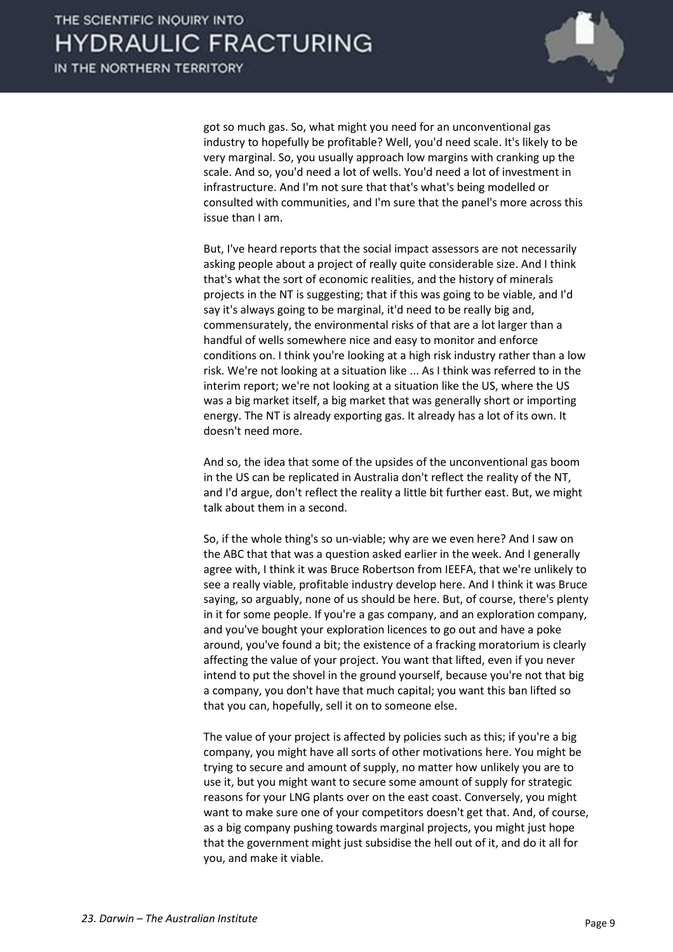

got so much gas. So, what might you need for an unconventional gas industry to hopefully be profitable? Well, you'd need scale. It's likely to be very marginal. So, you usually approach low margins with cranking up the scale. And so, you'd need a lot of wells. You'd need a lot of investment in infrastructure. And I'm not sure that that's what's being modelled or consulted with communities, and I'm sure that the panel's more across this issue than I am.

 But, I've heard reports that the social impact assessors are not necessarily asking people about a project of really quite considerable size. And I think that's what the sort of economic realities, and the history of minerals projects in the NT is suggesting; that if this was going to be viable, and I'd say it's always going to be marginal, it'd need to be really big and, commensurately, the environmental risks of that are a lot larger than a handful of wells somewhere nice and easy to monitor and enforce conditions on. I think you're looking at a high risk industry rather than a low risk. We're not looking at a situation like ... As I think was referred to in the interim report; we're not looking at a situation like the US, where the US was a big market itself, a big market that was generally short or importing energy. The NT is already exporting gas. It already has a lot of its own. It doesn't need more.

 And so, the idea that some of the upsides of the unconventional gas boom in the US can be replicated in Australia don't reflect the reality of the NT, and I'd argue, don't reflect the reality a little bit further east. But, we might talk about them in a second.

 So, if the whole thing's so un-viable; why are we even here? And I saw on the ABC that that was a question asked earlier in the week. And I generally agree with, I think it was Bruce Robertson from IEEFA, that we're unlikely to see a really viable, profitable industry develop here. And I think it was Bruce saying, so arguably, none of us should be here. But, of course, there's plenty in it for some people. If you're a gas company, and an exploration company, and you've bought your exploration licences to go out and have a poke around, you've found a bit; the existence of a fracking moratorium is clearly affecting the value of your project. You want that lifted, even if you never intend to put the shovel in the ground yourself, because you're not that big a company, you don't have that much capital; you want this ban lifted so that you can, hopefully, sell it on to someone else.

 The value of your project is affected by policies such as this; if you're a big company, you might have all sorts of other motivations here. You might be trying to secure and amount of supply, no matter how unlikely you are to use it, but you might want to secure some amount of supply for strategic reasons for your LNG plants over on the east coast. Conversely, you might want to make sure one of your competitors doesn't get that. And, of course, as a big company pushing towards marginal projects, you might just hope that the government might just subsidise the hell out of it, and do it all for you, and make it viable.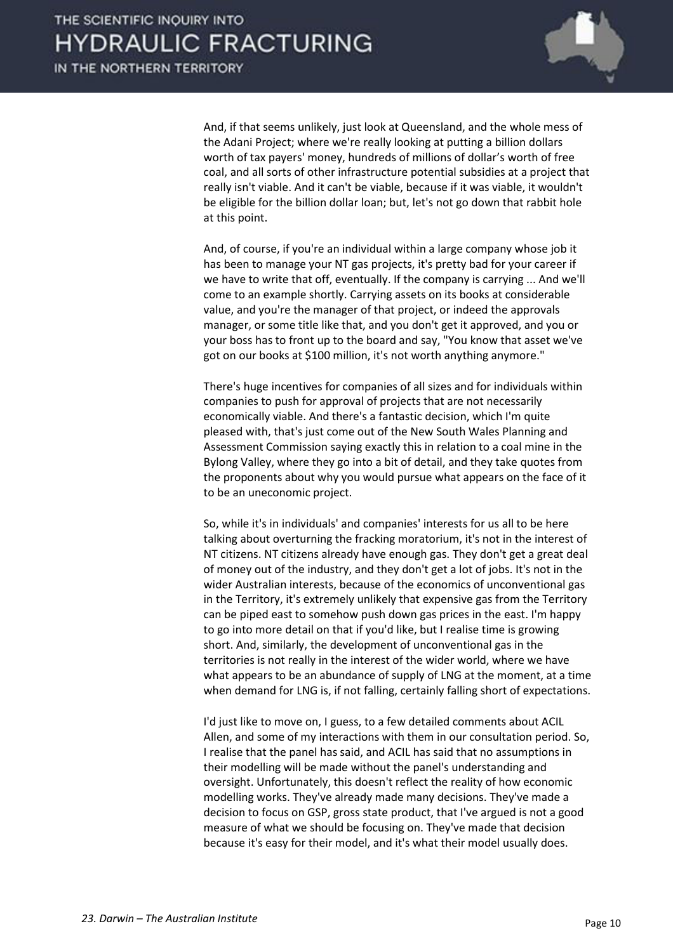

 And, if that seems unlikely, just look at Queensland, and the whole mess of the Adani Project; where we're really looking at putting a billion dollars worth of tax payers' money, hundreds of millions of dollar's worth of free coal, and all sorts of other infrastructure potential subsidies at a project that really isn't viable. And it can't be viable, because if it was viable, it wouldn't be eligible for the billion dollar loan; but, let's not go down that rabbit hole at this point.

 And, of course, if you're an individual within a large company whose job it has been to manage your NT gas projects, it's pretty bad for your career if we have to write that off, eventually. If the company is carrying ... And we'll come to an example shortly. Carrying assets on its books at considerable value, and you're the manager of that project, or indeed the approvals manager, or some title like that, and you don't get it approved, and you or your boss has to front up to the board and say, "You know that asset we've got on our books at \$100 million, it's not worth anything anymore."

 There's huge incentives for companies of all sizes and for individuals within companies to push for approval of projects that are not necessarily economically viable. And there's a fantastic decision, which I'm quite pleased with, that's just come out of the New South Wales Planning and Assessment Commission saying exactly this in relation to a coal mine in the Bylong Valley, where they go into a bit of detail, and they take quotes from the proponents about why you would pursue what appears on the face of it to be an uneconomic project.

 So, while it's in individuals' and companies' interests for us all to be here talking about overturning the fracking moratorium, it's not in the interest of NT citizens. NT citizens already have enough gas. They don't get a great deal of money out of the industry, and they don't get a lot of jobs. It's not in the wider Australian interests, because of the economics of unconventional gas in the Territory, it's extremely unlikely that expensive gas from the Territory can be piped east to somehow push down gas prices in the east. I'm happy to go into more detail on that if you'd like, but I realise time is growing short. And, similarly, the development of unconventional gas in the territories is not really in the interest of the wider world, where we have what appears to be an abundance of supply of LNG at the moment, at a time when demand for LNG is, if not falling, certainly falling short of expectations.

 I'd just like to move on, I guess, to a few detailed comments about ACIL Allen, and some of my interactions with them in our consultation period. So, I realise that the panel has said, and ACIL has said that no assumptions in their modelling will be made without the panel's understanding and oversight. Unfortunately, this doesn't reflect the reality of how economic modelling works. They've already made many decisions. They've made a decision to focus on GSP, gross state product, that I've argued is not a good measure of what we should be focusing on. They've made that decision because it's easy for their model, and it's what their model usually does.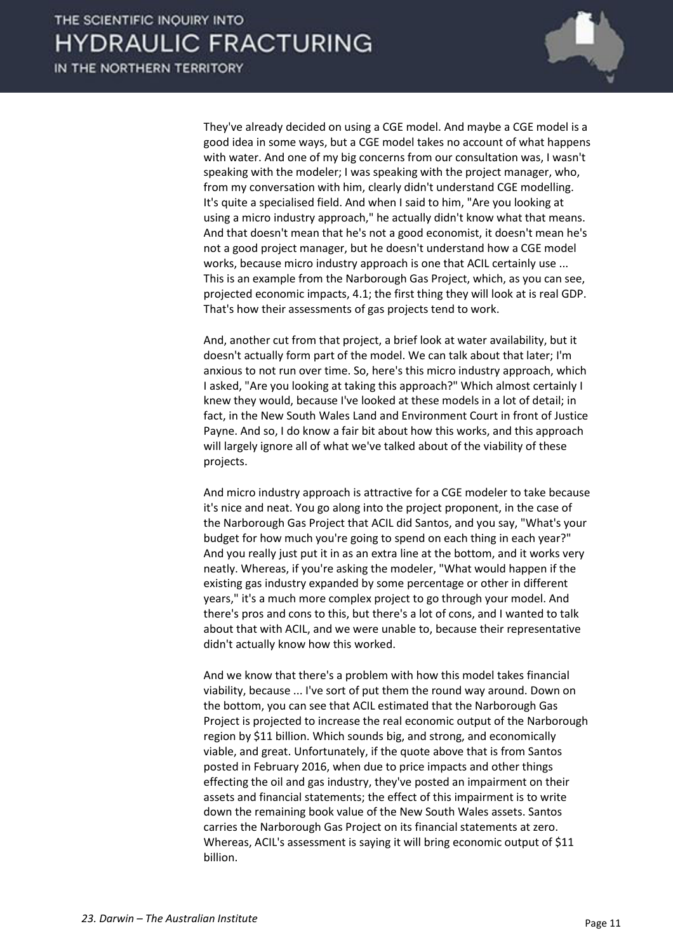IN THE NORTHERN TERRITORY



 They've already decided on using a CGE model. And maybe a CGE model is a good idea in some ways, but a CGE model takes no account of what happens with water. And one of my big concerns from our consultation was, I wasn't speaking with the modeler; I was speaking with the project manager, who, from my conversation with him, clearly didn't understand CGE modelling. It's quite a specialised field. And when I said to him, "Are you looking at using a micro industry approach," he actually didn't know what that means. And that doesn't mean that he's not a good economist, it doesn't mean he's not a good project manager, but he doesn't understand how a CGE model works, because micro industry approach is one that ACIL certainly use ... This is an example from the Narborough Gas Project, which, as you can see, projected economic impacts, 4.1; the first thing they will look at is real GDP. That's how their assessments of gas projects tend to work.

 And, another cut from that project, a brief look at water availability, but it doesn't actually form part of the model. We can talk about that later; I'm anxious to not run over time. So, here's this micro industry approach, which I asked, "Are you looking at taking this approach?" Which almost certainly I knew they would, because I've looked at these models in a lot of detail; in fact, in the New South Wales Land and Environment Court in front of Justice Payne. And so, I do know a fair bit about how this works, and this approach will largely ignore all of what we've talked about of the viability of these projects.

 And micro industry approach is attractive for a CGE modeler to take because it's nice and neat. You go along into the project proponent, in the case of the Narborough Gas Project that ACIL did Santos, and you say, "What's your budget for how much you're going to spend on each thing in each year?" And you really just put it in as an extra line at the bottom, and it works very neatly. Whereas, if you're asking the modeler, "What would happen if the existing gas industry expanded by some percentage or other in different years," it's a much more complex project to go through your model. And there's pros and cons to this, but there's a lot of cons, and I wanted to talk about that with ACIL, and we were unable to, because their representative didn't actually know how this worked.

 And we know that there's a problem with how this model takes financial viability, because ... I've sort of put them the round way around. Down on the bottom, you can see that ACIL estimated that the Narborough Gas Project is projected to increase the real economic output of the Narborough region by \$11 billion. Which sounds big, and strong, and economically viable, and great. Unfortunately, if the quote above that is from Santos posted in February 2016, when due to price impacts and other things effecting the oil and gas industry, they've posted an impairment on their assets and financial statements; the effect of this impairment is to write down the remaining book value of the New South Wales assets. Santos carries the Narborough Gas Project on its financial statements at zero. Whereas, ACIL's assessment is saying it will bring economic output of \$11 billion.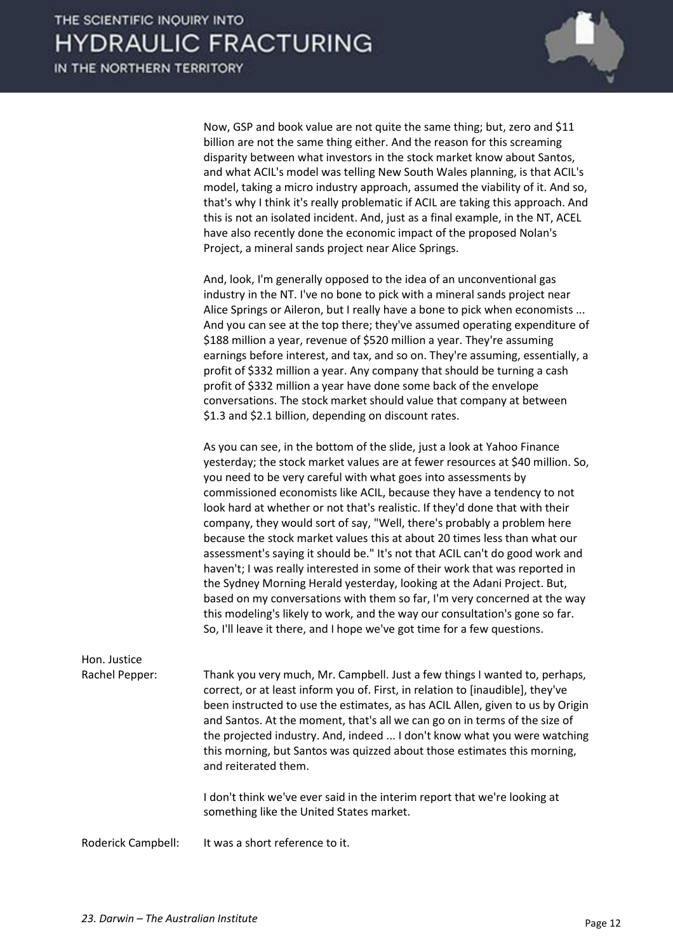| Now, GSP and book value are not quite the same thing; but, zero and \$11<br>billion are not the same thing either. And the reason for this screaming<br>disparity between what investors in the stock market know about Santos,<br>and what ACIL's model was telling New South Wales planning, is that ACIL's<br>model, taking a micro industry approach, assumed the viability of it. And so,<br>that's why I think it's really problematic if ACIL are taking this approach. And<br>this is not an isolated incident. And, just as a final example, in the NT, ACEL<br>have also recently done the economic impact of the proposed Nolan's |
|----------------------------------------------------------------------------------------------------------------------------------------------------------------------------------------------------------------------------------------------------------------------------------------------------------------------------------------------------------------------------------------------------------------------------------------------------------------------------------------------------------------------------------------------------------------------------------------------------------------------------------------------|
| Project, a mineral sands project near Alice Springs.                                                                                                                                                                                                                                                                                                                                                                                                                                                                                                                                                                                         |

 And, look, I'm generally opposed to the idea of an unconventional gas industry in the NT. I've no bone to pick with a mineral sands project near Alice Springs or Aileron, but I really have a bone to pick when economists ... And you can see at the top there; they've assumed operating expenditure of \$188 million a year, revenue of \$520 million a year. They're assuming earnings before interest, and tax, and so on. They're assuming, essentially, a profit of \$332 million a year. Any company that should be turning a cash profit of \$332 million a year have done some back of the envelope conversations. The stock market should value that company at between \$1.3 and \$2.1 billion, depending on discount rates.

 As you can see, in the bottom of the slide, just a look at Yahoo Finance yesterday; the stock market values are at fewer resources at \$40 million. So, you need to be very careful with what goes into assessments by commissioned economists like ACIL, because they have a tendency to not look hard at whether or not that's realistic. If they'd done that with their company, they would sort of say, "Well, there's probably a problem here because the stock market values this at about 20 times less than what our assessment's saying it should be." It's not that ACIL can't do good work and haven't; I was really interested in some of their work that was reported in the Sydney Morning Herald yesterday, looking at the Adani Project. But, based on my conversations with them so far, I'm very concerned at the way this modeling's likely to work, and the way our consultation's gone so far. So, I'll leave it there, and I hope we've got time for a few questions.

| Hon. Justice       |                                                                                                                                                                                                                                                                                                                                                                                                                                                                                                              |
|--------------------|--------------------------------------------------------------------------------------------------------------------------------------------------------------------------------------------------------------------------------------------------------------------------------------------------------------------------------------------------------------------------------------------------------------------------------------------------------------------------------------------------------------|
| Rachel Pepper:     | Thank you very much, Mr. Campbell. Just a few things I wanted to, perhaps,<br>correct, or at least inform you of. First, in relation to [inaudible], they've<br>been instructed to use the estimates, as has ACIL Allen, given to us by Origin<br>and Santos. At the moment, that's all we can go on in terms of the size of<br>the projected industry. And, indeed  I don't know what you were watching<br>this morning, but Santos was quizzed about those estimates this morning,<br>and reiterated them. |
|                    | I don't think we've ever said in the interim report that we're looking at<br>something like the United States market.                                                                                                                                                                                                                                                                                                                                                                                        |
| Roderick Campbell: | It was a short reference to it.                                                                                                                                                                                                                                                                                                                                                                                                                                                                              |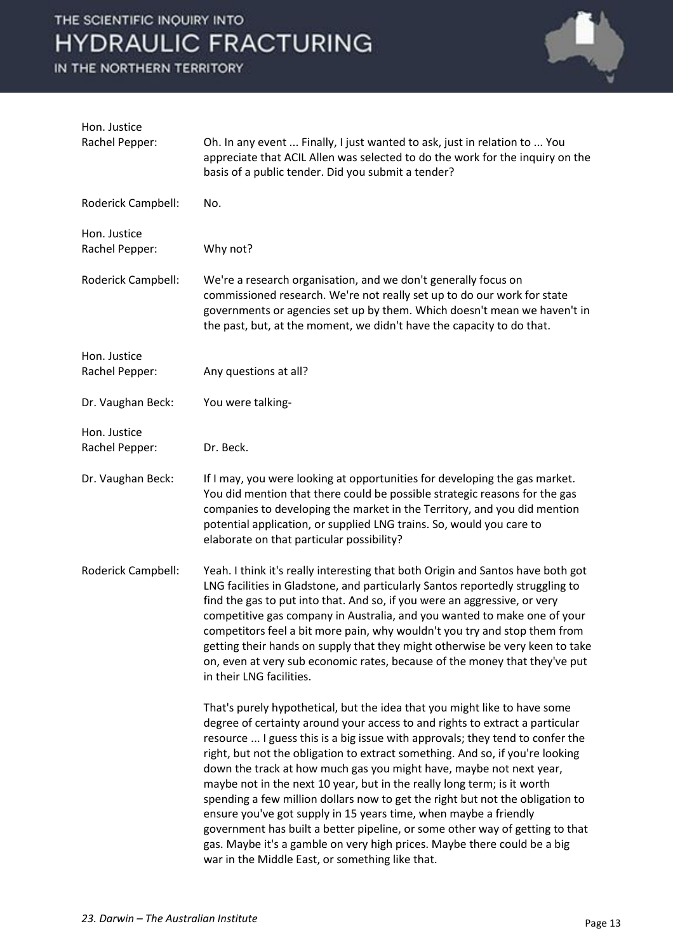IN THE NORTHERN TERRITORY



| Hon. Justice<br>Rachel Pepper: | Oh. In any event  Finally, I just wanted to ask, just in relation to  You<br>appreciate that ACIL Allen was selected to do the work for the inquiry on the<br>basis of a public tender. Did you submit a tender?                                                                                                                                                                                                                                                                                                                                                                                                                                                                                                                                                                                                                                  |
|--------------------------------|---------------------------------------------------------------------------------------------------------------------------------------------------------------------------------------------------------------------------------------------------------------------------------------------------------------------------------------------------------------------------------------------------------------------------------------------------------------------------------------------------------------------------------------------------------------------------------------------------------------------------------------------------------------------------------------------------------------------------------------------------------------------------------------------------------------------------------------------------|
| Roderick Campbell:             | No.                                                                                                                                                                                                                                                                                                                                                                                                                                                                                                                                                                                                                                                                                                                                                                                                                                               |
| Hon. Justice<br>Rachel Pepper: | Why not?                                                                                                                                                                                                                                                                                                                                                                                                                                                                                                                                                                                                                                                                                                                                                                                                                                          |
| Roderick Campbell:             | We're a research organisation, and we don't generally focus on<br>commissioned research. We're not really set up to do our work for state<br>governments or agencies set up by them. Which doesn't mean we haven't in<br>the past, but, at the moment, we didn't have the capacity to do that.                                                                                                                                                                                                                                                                                                                                                                                                                                                                                                                                                    |
| Hon. Justice<br>Rachel Pepper: | Any questions at all?                                                                                                                                                                                                                                                                                                                                                                                                                                                                                                                                                                                                                                                                                                                                                                                                                             |
| Dr. Vaughan Beck:              | You were talking-                                                                                                                                                                                                                                                                                                                                                                                                                                                                                                                                                                                                                                                                                                                                                                                                                                 |
| Hon. Justice<br>Rachel Pepper: | Dr. Beck.                                                                                                                                                                                                                                                                                                                                                                                                                                                                                                                                                                                                                                                                                                                                                                                                                                         |
| Dr. Vaughan Beck:              | If I may, you were looking at opportunities for developing the gas market.<br>You did mention that there could be possible strategic reasons for the gas<br>companies to developing the market in the Territory, and you did mention<br>potential application, or supplied LNG trains. So, would you care to<br>elaborate on that particular possibility?                                                                                                                                                                                                                                                                                                                                                                                                                                                                                         |
| Roderick Campbell:             | Yeah. I think it's really interesting that both Origin and Santos have both got<br>LNG facilities in Gladstone, and particularly Santos reportedly struggling to<br>find the gas to put into that. And so, if you were an aggressive, or very<br>competitive gas company in Australia, and you wanted to make one of your<br>competitors feel a bit more pain, why wouldn't you try and stop them from<br>getting their hands on supply that they might otherwise be very keen to take<br>on, even at very sub economic rates, because of the money that they've put<br>in their LNG facilities.                                                                                                                                                                                                                                                  |
|                                | That's purely hypothetical, but the idea that you might like to have some<br>degree of certainty around your access to and rights to extract a particular<br>resource  I guess this is a big issue with approvals; they tend to confer the<br>right, but not the obligation to extract something. And so, if you're looking<br>down the track at how much gas you might have, maybe not next year,<br>maybe not in the next 10 year, but in the really long term; is it worth<br>spending a few million dollars now to get the right but not the obligation to<br>ensure you've got supply in 15 years time, when maybe a friendly<br>government has built a better pipeline, or some other way of getting to that<br>gas. Maybe it's a gamble on very high prices. Maybe there could be a big<br>war in the Middle East, or something like that. |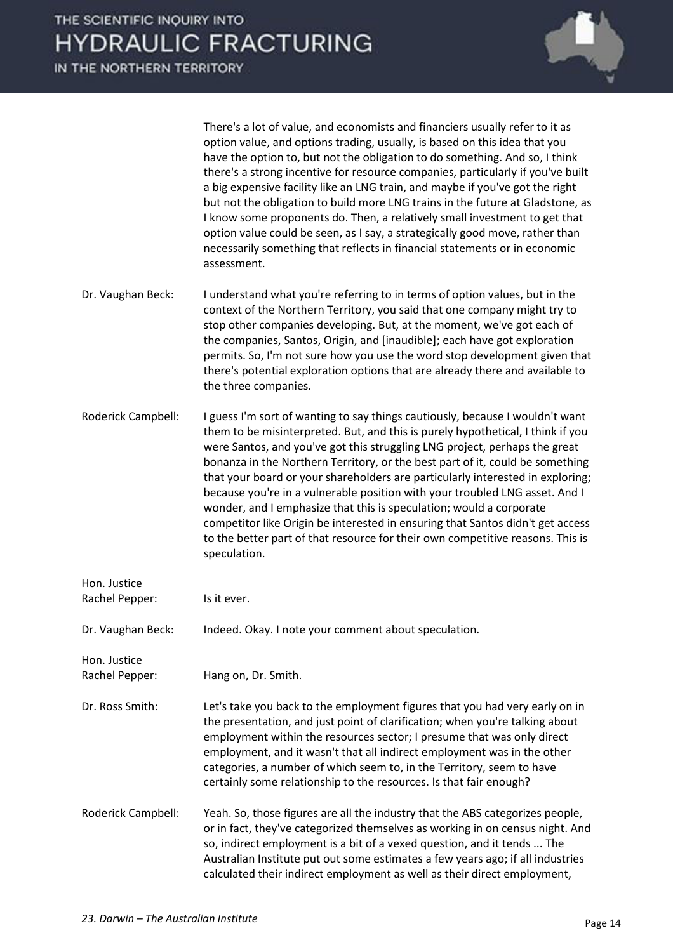IN THE NORTHERN TERRITORY



 There's a lot of value, and economists and financiers usually refer to it as option value, and options trading, usually, is based on this idea that you have the option to, but not the obligation to do something. And so, I think there's a strong incentive for resource companies, particularly if you've built a big expensive facility like an LNG train, and maybe if you've got the right but not the obligation to build more LNG trains in the future at Gladstone, as I know some proponents do. Then, a relatively small investment to get that option value could be seen, as I say, a strategically good move, rather than necessarily something that reflects in financial statements or in economic assessment.

Dr. Vaughan Beck: I understand what you're referring to in terms of option values, but in the context of the Northern Territory, you said that one company might try to stop other companies developing. But, at the moment, we've got each of the companies, Santos, Origin, and [inaudible]; each have got exploration permits. So, I'm not sure how you use the word stop development given that there's potential exploration options that are already there and available to the three companies.

Roderick Campbell: I guess I'm sort of wanting to say things cautiously, because I wouldn't want them to be misinterpreted. But, and this is purely hypothetical, I think if you were Santos, and you've got this struggling LNG project, perhaps the great bonanza in the Northern Territory, or the best part of it, could be something that your board or your shareholders are particularly interested in exploring; because you're in a vulnerable position with your troubled LNG asset. And I wonder, and I emphasize that this is speculation; would a corporate competitor like Origin be interested in ensuring that Santos didn't get access to the better part of that resource for their own competitive reasons. This is speculation.

| Hon. Justice                   |                                                                                                                                                                                                                                                                                                                                                                                                                                                                 |
|--------------------------------|-----------------------------------------------------------------------------------------------------------------------------------------------------------------------------------------------------------------------------------------------------------------------------------------------------------------------------------------------------------------------------------------------------------------------------------------------------------------|
| Rachel Pepper:                 | Is it ever.                                                                                                                                                                                                                                                                                                                                                                                                                                                     |
| Dr. Vaughan Beck:              | Indeed. Okay. I note your comment about speculation.                                                                                                                                                                                                                                                                                                                                                                                                            |
| Hon. Justice<br>Rachel Pepper: | Hang on, Dr. Smith.                                                                                                                                                                                                                                                                                                                                                                                                                                             |
| Dr. Ross Smith:                | Let's take you back to the employment figures that you had very early on in<br>the presentation, and just point of clarification; when you're talking about<br>employment within the resources sector; I presume that was only direct<br>employment, and it wasn't that all indirect employment was in the other<br>categories, a number of which seem to, in the Territory, seem to have<br>certainly some relationship to the resources. Is that fair enough? |
| Roderick Campbell:             | Yeah. So, those figures are all the industry that the ABS categorizes people,<br>or in fact, they've categorized themselves as working in on census night. And<br>so, indirect employment is a bit of a vexed question, and it tends  The<br>Australian Institute put out some estimates a few years ago; if all industries<br>calculated their indirect employment as well as their direct employment,                                                         |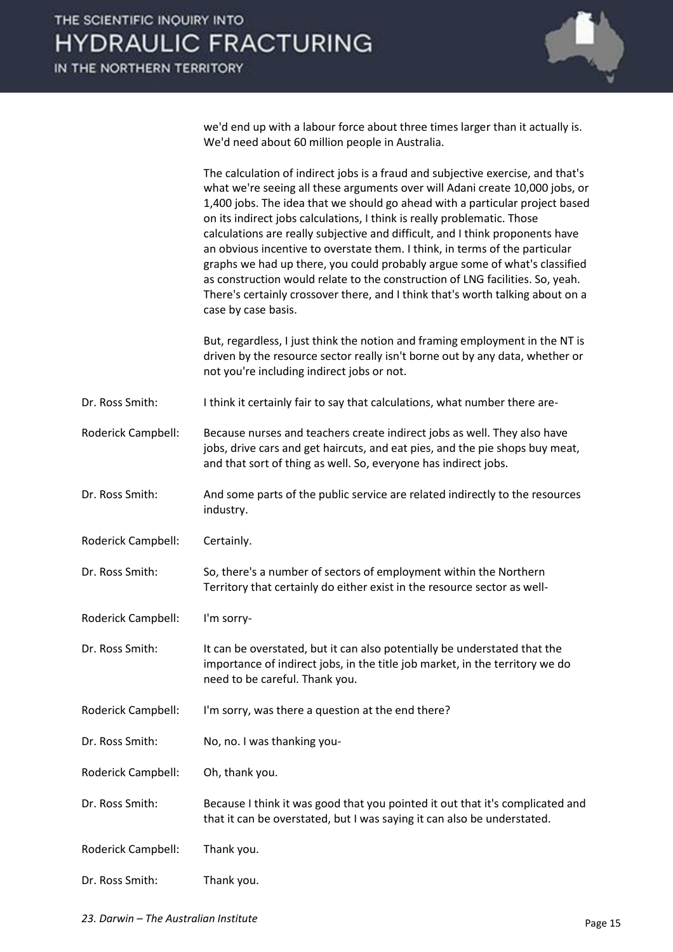IN THE NORTHERN TERRITORY



we'd end up with a labour force about three times larger than it actually is. We'd need about 60 million people in Australia.

|                    | The calculation of indirect jobs is a fraud and subjective exercise, and that's<br>what we're seeing all these arguments over will Adani create 10,000 jobs, or                                                                                                                                                                                                                                                                                                                                                                                                                                 |
|--------------------|-------------------------------------------------------------------------------------------------------------------------------------------------------------------------------------------------------------------------------------------------------------------------------------------------------------------------------------------------------------------------------------------------------------------------------------------------------------------------------------------------------------------------------------------------------------------------------------------------|
|                    | 1,400 jobs. The idea that we should go ahead with a particular project based<br>on its indirect jobs calculations, I think is really problematic. Those<br>calculations are really subjective and difficult, and I think proponents have<br>an obvious incentive to overstate them. I think, in terms of the particular<br>graphs we had up there, you could probably argue some of what's classified<br>as construction would relate to the construction of LNG facilities. So, yeah.<br>There's certainly crossover there, and I think that's worth talking about on a<br>case by case basis. |
|                    | But, regardless, I just think the notion and framing employment in the NT is<br>driven by the resource sector really isn't borne out by any data, whether or<br>not you're including indirect jobs or not.                                                                                                                                                                                                                                                                                                                                                                                      |
| Dr. Ross Smith:    | I think it certainly fair to say that calculations, what number there are-                                                                                                                                                                                                                                                                                                                                                                                                                                                                                                                      |
| Roderick Campbell: | Because nurses and teachers create indirect jobs as well. They also have<br>jobs, drive cars and get haircuts, and eat pies, and the pie shops buy meat,<br>and that sort of thing as well. So, everyone has indirect jobs.                                                                                                                                                                                                                                                                                                                                                                     |
| Dr. Ross Smith:    | And some parts of the public service are related indirectly to the resources<br>industry.                                                                                                                                                                                                                                                                                                                                                                                                                                                                                                       |
| Roderick Campbell: | Certainly.                                                                                                                                                                                                                                                                                                                                                                                                                                                                                                                                                                                      |
| Dr. Ross Smith:    | So, there's a number of sectors of employment within the Northern<br>Territory that certainly do either exist in the resource sector as well-                                                                                                                                                                                                                                                                                                                                                                                                                                                   |
| Roderick Campbell: | I'm sorry-                                                                                                                                                                                                                                                                                                                                                                                                                                                                                                                                                                                      |
| Dr. Ross Smith:    | It can be overstated, but it can also potentially be understated that the<br>importance of indirect jobs, in the title job market, in the territory we do<br>need to be careful. Thank you.                                                                                                                                                                                                                                                                                                                                                                                                     |
| Roderick Campbell: | I'm sorry, was there a question at the end there?                                                                                                                                                                                                                                                                                                                                                                                                                                                                                                                                               |
| Dr. Ross Smith:    | No, no. I was thanking you-                                                                                                                                                                                                                                                                                                                                                                                                                                                                                                                                                                     |
| Roderick Campbell: | Oh, thank you.                                                                                                                                                                                                                                                                                                                                                                                                                                                                                                                                                                                  |
| Dr. Ross Smith:    | Because I think it was good that you pointed it out that it's complicated and<br>that it can be overstated, but I was saying it can also be understated.                                                                                                                                                                                                                                                                                                                                                                                                                                        |
| Roderick Campbell: | Thank you.                                                                                                                                                                                                                                                                                                                                                                                                                                                                                                                                                                                      |
| Dr. Ross Smith:    | Thank you.                                                                                                                                                                                                                                                                                                                                                                                                                                                                                                                                                                                      |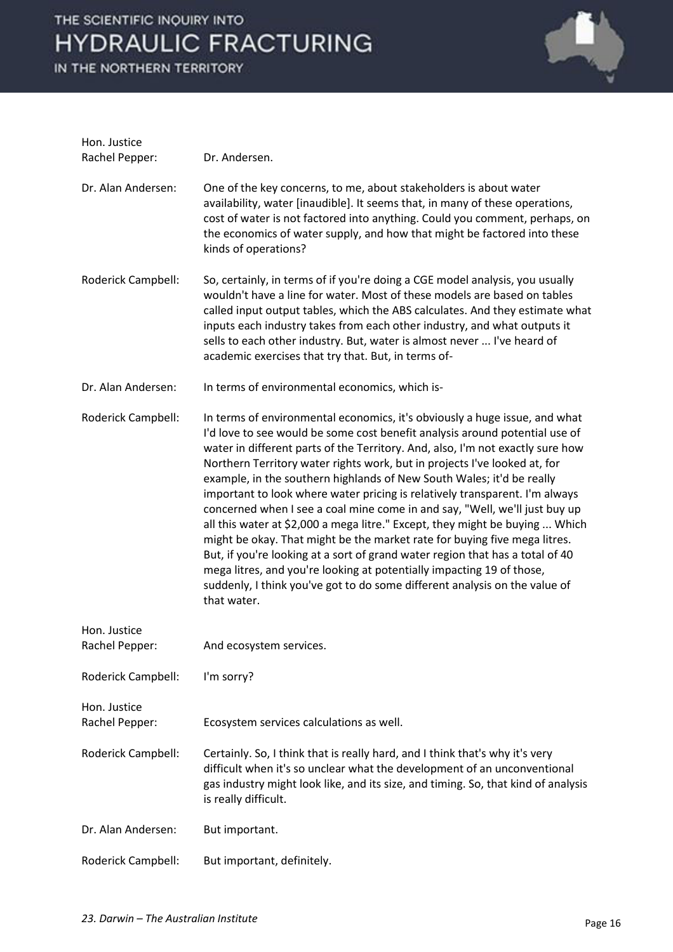IN THE NORTHERN TERRITORY



| Hon. Justice                   |                                                                                                                                                                                                                                                                                                                                                                                                                                                                                                                                                                                                                                                                                                                                                                                                                                                                                                                                                                                    |
|--------------------------------|------------------------------------------------------------------------------------------------------------------------------------------------------------------------------------------------------------------------------------------------------------------------------------------------------------------------------------------------------------------------------------------------------------------------------------------------------------------------------------------------------------------------------------------------------------------------------------------------------------------------------------------------------------------------------------------------------------------------------------------------------------------------------------------------------------------------------------------------------------------------------------------------------------------------------------------------------------------------------------|
| Rachel Pepper:                 | Dr. Andersen.                                                                                                                                                                                                                                                                                                                                                                                                                                                                                                                                                                                                                                                                                                                                                                                                                                                                                                                                                                      |
| Dr. Alan Andersen:             | One of the key concerns, to me, about stakeholders is about water<br>availability, water [inaudible]. It seems that, in many of these operations,<br>cost of water is not factored into anything. Could you comment, perhaps, on<br>the economics of water supply, and how that might be factored into these<br>kinds of operations?                                                                                                                                                                                                                                                                                                                                                                                                                                                                                                                                                                                                                                               |
| Roderick Campbell:             | So, certainly, in terms of if you're doing a CGE model analysis, you usually<br>wouldn't have a line for water. Most of these models are based on tables<br>called input output tables, which the ABS calculates. And they estimate what<br>inputs each industry takes from each other industry, and what outputs it<br>sells to each other industry. But, water is almost never  I've heard of<br>academic exercises that try that. But, in terms of-                                                                                                                                                                                                                                                                                                                                                                                                                                                                                                                             |
| Dr. Alan Andersen:             | In terms of environmental economics, which is-                                                                                                                                                                                                                                                                                                                                                                                                                                                                                                                                                                                                                                                                                                                                                                                                                                                                                                                                     |
| Roderick Campbell:             | In terms of environmental economics, it's obviously a huge issue, and what<br>I'd love to see would be some cost benefit analysis around potential use of<br>water in different parts of the Territory. And, also, I'm not exactly sure how<br>Northern Territory water rights work, but in projects I've looked at, for<br>example, in the southern highlands of New South Wales; it'd be really<br>important to look where water pricing is relatively transparent. I'm always<br>concerned when I see a coal mine come in and say, "Well, we'll just buy up<br>all this water at \$2,000 a mega litre." Except, they might be buying  Which<br>might be okay. That might be the market rate for buying five mega litres.<br>But, if you're looking at a sort of grand water region that has a total of 40<br>mega litres, and you're looking at potentially impacting 19 of those,<br>suddenly, I think you've got to do some different analysis on the value of<br>that water. |
| Hon. Justice<br>Rachel Pepper: | And ecosystem services.                                                                                                                                                                                                                                                                                                                                                                                                                                                                                                                                                                                                                                                                                                                                                                                                                                                                                                                                                            |
| Roderick Campbell:             | I'm sorry?                                                                                                                                                                                                                                                                                                                                                                                                                                                                                                                                                                                                                                                                                                                                                                                                                                                                                                                                                                         |
| Hon. Justice<br>Rachel Pepper: | Ecosystem services calculations as well.                                                                                                                                                                                                                                                                                                                                                                                                                                                                                                                                                                                                                                                                                                                                                                                                                                                                                                                                           |
| Roderick Campbell:             | Certainly. So, I think that is really hard, and I think that's why it's very<br>difficult when it's so unclear what the development of an unconventional<br>gas industry might look like, and its size, and timing. So, that kind of analysis<br>is really difficult.                                                                                                                                                                                                                                                                                                                                                                                                                                                                                                                                                                                                                                                                                                              |
| Dr. Alan Andersen:             | But important.                                                                                                                                                                                                                                                                                                                                                                                                                                                                                                                                                                                                                                                                                                                                                                                                                                                                                                                                                                     |
| Roderick Campbell:             | But important, definitely.                                                                                                                                                                                                                                                                                                                                                                                                                                                                                                                                                                                                                                                                                                                                                                                                                                                                                                                                                         |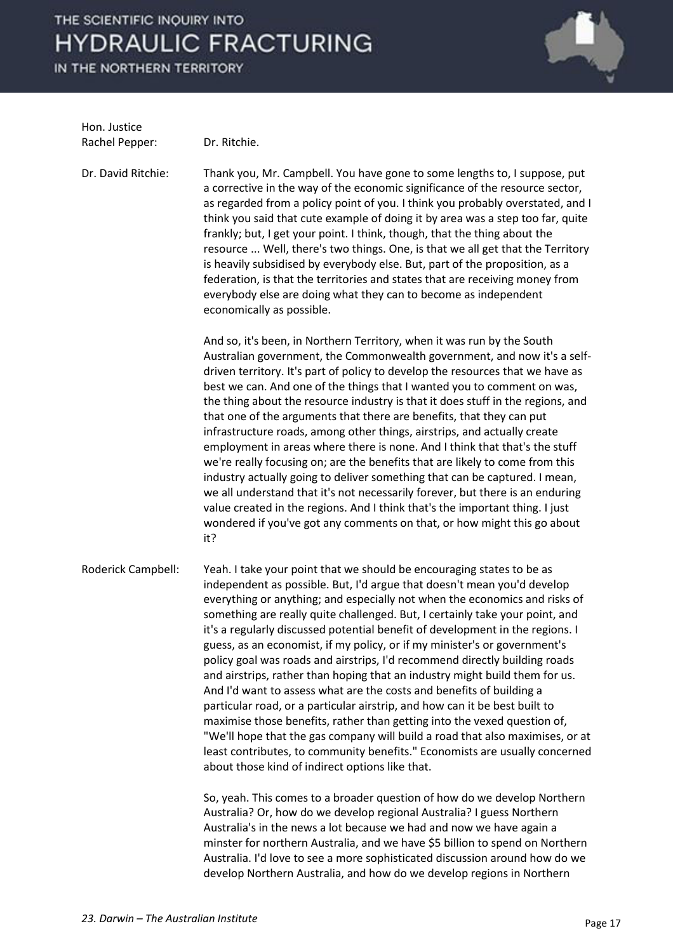IN THE NORTHERN TERRITORY



Hon. Justice Rachel Pepper: Dr. Ritchie.

Dr. David Ritchie: Thank you, Mr. Campbell. You have gone to some lengths to, I suppose, put a corrective in the way of the economic significance of the resource sector, as regarded from a policy point of you. I think you probably overstated, and I think you said that cute example of doing it by area was a step too far, quite frankly; but, I get your point. I think, though, that the thing about the resource ... Well, there's two things. One, is that we all get that the Territory is heavily subsidised by everybody else. But, part of the proposition, as a federation, is that the territories and states that are receiving money from everybody else are doing what they can to become as independent economically as possible.

> And so, it's been, in Northern Territory, when it was run by the South Australian government, the Commonwealth government, and now it's a selfdriven territory. It's part of policy to develop the resources that we have as best we can. And one of the things that I wanted you to comment on was, the thing about the resource industry is that it does stuff in the regions, and that one of the arguments that there are benefits, that they can put infrastructure roads, among other things, airstrips, and actually create employment in areas where there is none. And I think that that's the stuff we're really focusing on; are the benefits that are likely to come from this industry actually going to deliver something that can be captured. I mean, we all understand that it's not necessarily forever, but there is an enduring value created in the regions. And I think that's the important thing. I just wondered if you've got any comments on that, or how might this go about it?

Roderick Campbell: Yeah. I take your point that we should be encouraging states to be as independent as possible. But, I'd argue that doesn't mean you'd develop everything or anything; and especially not when the economics and risks of something are really quite challenged. But, I certainly take your point, and it's a regularly discussed potential benefit of development in the regions. I guess, as an economist, if my policy, or if my minister's or government's policy goal was roads and airstrips, I'd recommend directly building roads and airstrips, rather than hoping that an industry might build them for us. And I'd want to assess what are the costs and benefits of building a particular road, or a particular airstrip, and how can it be best built to maximise those benefits, rather than getting into the vexed question of, "We'll hope that the gas company will build a road that also maximises, or at least contributes, to community benefits." Economists are usually concerned about those kind of indirect options like that.

> So, yeah. This comes to a broader question of how do we develop Northern Australia? Or, how do we develop regional Australia? I guess Northern Australia's in the news a lot because we had and now we have again a minster for northern Australia, and we have \$5 billion to spend on Northern Australia. I'd love to see a more sophisticated discussion around how do we develop Northern Australia, and how do we develop regions in Northern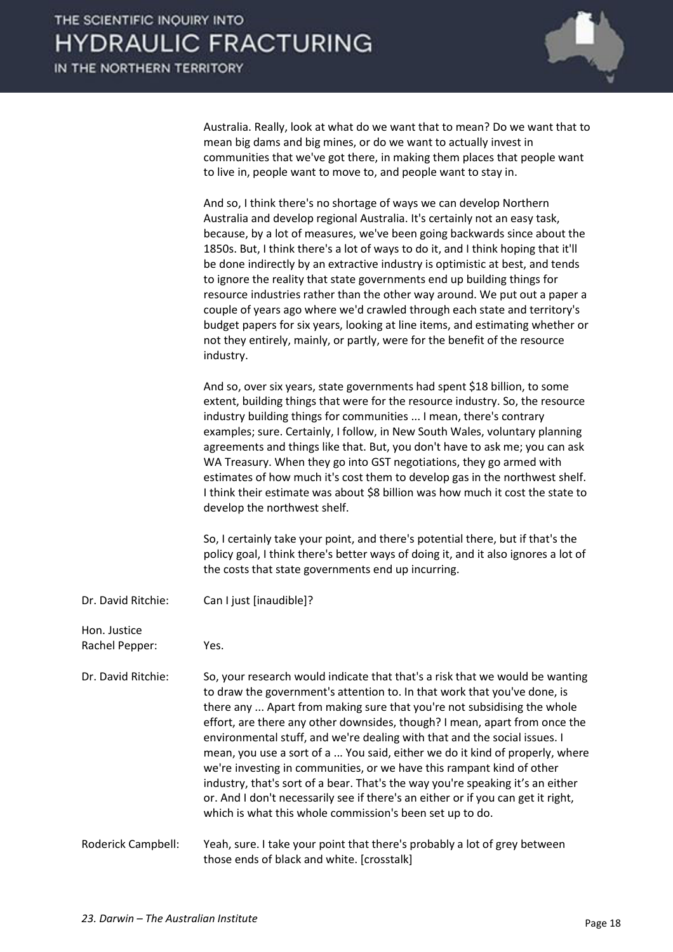

Australia. Really, look at what do we want that to mean? Do we want that to mean big dams and big mines, or do we want to actually invest in communities that we've got there, in making them places that people want to live in, people want to move to, and people want to stay in.

|                    | And so, I think there's no shortage of ways we can develop Northern<br>Australia and develop regional Australia. It's certainly not an easy task,<br>because, by a lot of measures, we've been going backwards since about the<br>1850s. But, I think there's a lot of ways to do it, and I think hoping that it'll<br>be done indirectly by an extractive industry is optimistic at best, and tends<br>to ignore the reality that state governments end up building things for<br>resource industries rather than the other way around. We put out a paper a<br>couple of years ago where we'd crawled through each state and territory's<br>budget papers for six years, looking at line items, and estimating whether or<br>not they entirely, mainly, or partly, were for the benefit of the resource<br>industry. |
|--------------------|------------------------------------------------------------------------------------------------------------------------------------------------------------------------------------------------------------------------------------------------------------------------------------------------------------------------------------------------------------------------------------------------------------------------------------------------------------------------------------------------------------------------------------------------------------------------------------------------------------------------------------------------------------------------------------------------------------------------------------------------------------------------------------------------------------------------|
|                    | And so, over six years, state governments had spent \$18 billion, to some<br>extent, building things that were for the resource industry. So, the resource<br>industry building things for communities  I mean, there's contrary<br>examples; sure. Certainly, I follow, in New South Wales, voluntary planning<br>agreements and things like that. But, you don't have to ask me; you can ask<br>WA Treasury. When they go into GST negotiations, they go armed with<br>estimates of how much it's cost them to develop gas in the northwest shelf.<br>I think their estimate was about \$8 billion was how much it cost the state to<br>develop the northwest shelf.                                                                                                                                                 |
|                    | So, I certainly take your point, and there's potential there, but if that's the<br>policy goal, I think there's better ways of doing it, and it also ignores a lot of<br>the costs that state governments end up incurring.                                                                                                                                                                                                                                                                                                                                                                                                                                                                                                                                                                                            |
| Dr. David Ritchie: | Can I just [inaudible]?                                                                                                                                                                                                                                                                                                                                                                                                                                                                                                                                                                                                                                                                                                                                                                                                |
| Hon. Justice       |                                                                                                                                                                                                                                                                                                                                                                                                                                                                                                                                                                                                                                                                                                                                                                                                                        |
| Rachel Pepper:     | Yes.                                                                                                                                                                                                                                                                                                                                                                                                                                                                                                                                                                                                                                                                                                                                                                                                                   |
| Dr. David Ritchie: | So, your research would indicate that that's a risk that we would be wanting<br>to draw the government's attention to. In that work that you've done, is<br>there any  Apart from making sure that you're not subsidising the whole<br>effort, are there any other downsides, though? I mean, apart from once the<br>environmental stuff, and we're dealing with that and the social issues. I<br>mean, you use a sort of a  You said, either we do it kind of properly, where<br>we're investing in communities, or we have this rampant kind of other<br>industry, that's sort of a bear. That's the way you're speaking it's an either<br>or. And I don't necessarily see if there's an either or if you can get it right,                                                                                          |

Roderick Campbell: Yeah, sure. I take your point that there's probably a lot of grey between those ends of black and white. [crosstalk]

which is what this whole commission's been set up to do.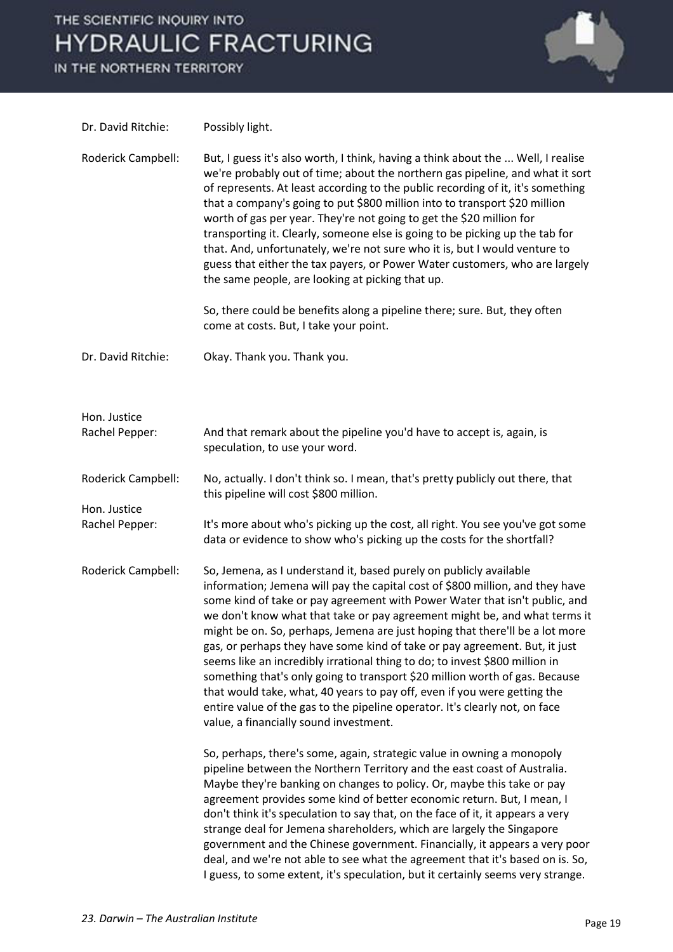IN THE NORTHERN TERRITORY



| Dr. David Ritchie:             | Possibly light.                                                                                                                                                                                                                                                                                                                                                                                                                                                                                                                                                                                                                                                                                                                                                                                                                                 |
|--------------------------------|-------------------------------------------------------------------------------------------------------------------------------------------------------------------------------------------------------------------------------------------------------------------------------------------------------------------------------------------------------------------------------------------------------------------------------------------------------------------------------------------------------------------------------------------------------------------------------------------------------------------------------------------------------------------------------------------------------------------------------------------------------------------------------------------------------------------------------------------------|
| Roderick Campbell:             | But, I guess it's also worth, I think, having a think about the  Well, I realise<br>we're probably out of time; about the northern gas pipeline, and what it sort<br>of represents. At least according to the public recording of it, it's something<br>that a company's going to put \$800 million into to transport \$20 million<br>worth of gas per year. They're not going to get the \$20 million for<br>transporting it. Clearly, someone else is going to be picking up the tab for<br>that. And, unfortunately, we're not sure who it is, but I would venture to<br>guess that either the tax payers, or Power Water customers, who are largely<br>the same people, are looking at picking that up.<br>So, there could be benefits along a pipeline there; sure. But, they often                                                        |
|                                | come at costs. But, I take your point.                                                                                                                                                                                                                                                                                                                                                                                                                                                                                                                                                                                                                                                                                                                                                                                                          |
| Dr. David Ritchie:             | Okay. Thank you. Thank you.                                                                                                                                                                                                                                                                                                                                                                                                                                                                                                                                                                                                                                                                                                                                                                                                                     |
| Hon. Justice<br>Rachel Pepper: | And that remark about the pipeline you'd have to accept is, again, is<br>speculation, to use your word.                                                                                                                                                                                                                                                                                                                                                                                                                                                                                                                                                                                                                                                                                                                                         |
| Roderick Campbell:             | No, actually. I don't think so. I mean, that's pretty publicly out there, that<br>this pipeline will cost \$800 million.                                                                                                                                                                                                                                                                                                                                                                                                                                                                                                                                                                                                                                                                                                                        |
| Hon. Justice<br>Rachel Pepper: | It's more about who's picking up the cost, all right. You see you've got some<br>data or evidence to show who's picking up the costs for the shortfall?                                                                                                                                                                                                                                                                                                                                                                                                                                                                                                                                                                                                                                                                                         |
| Roderick Campbell:             | So, Jemena, as I understand it, based purely on publicly available<br>information; Jemena will pay the capital cost of \$800 million, and they have<br>some kind of take or pay agreement with Power Water that isn't public, and<br>we don't know what that take or pay agreement might be, and what terms it<br>might be on. So, perhaps, Jemena are just hoping that there'll be a lot more<br>gas, or perhaps they have some kind of take or pay agreement. But, it just<br>seems like an incredibly irrational thing to do; to invest \$800 million in<br>something that's only going to transport \$20 million worth of gas. Because<br>that would take, what, 40 years to pay off, even if you were getting the<br>entire value of the gas to the pipeline operator. It's clearly not, on face<br>value, a financially sound investment. |
|                                | So, perhaps, there's some, again, strategic value in owning a monopoly<br>pipeline between the Northern Territory and the east coast of Australia.<br>Maybe they're banking on changes to policy. Or, maybe this take or pay<br>agreement provides some kind of better economic return. But, I mean, I<br>don't think it's speculation to say that, on the face of it, it appears a very<br>strange deal for Jemena shareholders, which are largely the Singapore<br>government and the Chinese government. Financially, it appears a very poor<br>deal, and we're not able to see what the agreement that it's based on is. So,<br>I guess, to some extent, it's speculation, but it certainly seems very strange.                                                                                                                             |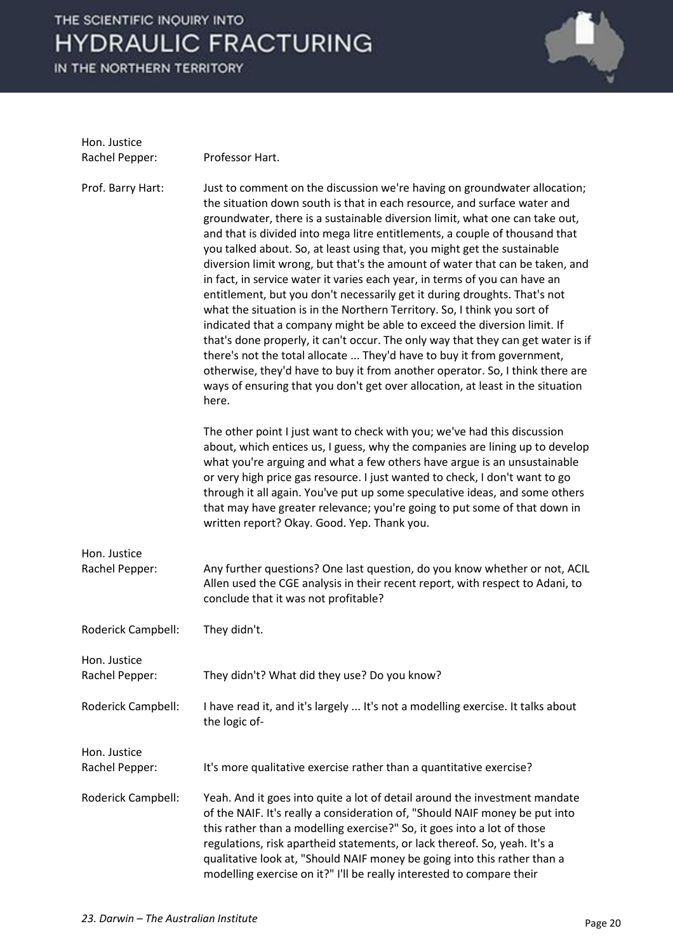IN THE NORTHERN TERRITORY



| Hon. Justice                   |                                                                                                                                                                                                                                                                                                                                                                                                                                                                                                                                                                                                                                                                                                                                                                                                                                                                                                                                                                                                                                                                                                                                              |
|--------------------------------|----------------------------------------------------------------------------------------------------------------------------------------------------------------------------------------------------------------------------------------------------------------------------------------------------------------------------------------------------------------------------------------------------------------------------------------------------------------------------------------------------------------------------------------------------------------------------------------------------------------------------------------------------------------------------------------------------------------------------------------------------------------------------------------------------------------------------------------------------------------------------------------------------------------------------------------------------------------------------------------------------------------------------------------------------------------------------------------------------------------------------------------------|
| Rachel Pepper:                 | Professor Hart.                                                                                                                                                                                                                                                                                                                                                                                                                                                                                                                                                                                                                                                                                                                                                                                                                                                                                                                                                                                                                                                                                                                              |
| Prof. Barry Hart:              | Just to comment on the discussion we're having on groundwater allocation;<br>the situation down south is that in each resource, and surface water and<br>groundwater, there is a sustainable diversion limit, what one can take out,<br>and that is divided into mega litre entitlements, a couple of thousand that<br>you talked about. So, at least using that, you might get the sustainable<br>diversion limit wrong, but that's the amount of water that can be taken, and<br>in fact, in service water it varies each year, in terms of you can have an<br>entitlement, but you don't necessarily get it during droughts. That's not<br>what the situation is in the Northern Territory. So, I think you sort of<br>indicated that a company might be able to exceed the diversion limit. If<br>that's done properly, it can't occur. The only way that they can get water is if<br>there's not the total allocate  They'd have to buy it from government,<br>otherwise, they'd have to buy it from another operator. So, I think there are<br>ways of ensuring that you don't get over allocation, at least in the situation<br>here. |
|                                | The other point I just want to check with you; we've had this discussion<br>about, which entices us, I guess, why the companies are lining up to develop<br>what you're arguing and what a few others have argue is an unsustainable<br>or very high price gas resource. I just wanted to check, I don't want to go<br>through it all again. You've put up some speculative ideas, and some others<br>that may have greater relevance; you're going to put some of that down in<br>written report? Okay. Good. Yep. Thank you.                                                                                                                                                                                                                                                                                                                                                                                                                                                                                                                                                                                                               |
| Hon. Justice<br>Rachel Pepper: | Any further questions? One last question, do you know whether or not, ACIL<br>Allen used the CGE analysis in their recent report, with respect to Adani, to<br>conclude that it was not profitable?                                                                                                                                                                                                                                                                                                                                                                                                                                                                                                                                                                                                                                                                                                                                                                                                                                                                                                                                          |
| Roderick Campbell:             | They didn't.                                                                                                                                                                                                                                                                                                                                                                                                                                                                                                                                                                                                                                                                                                                                                                                                                                                                                                                                                                                                                                                                                                                                 |
| Hon. Justice<br>Rachel Pepper: | They didn't? What did they use? Do you know?                                                                                                                                                                                                                                                                                                                                                                                                                                                                                                                                                                                                                                                                                                                                                                                                                                                                                                                                                                                                                                                                                                 |
| Roderick Campbell:             | I have read it, and it's largely  It's not a modelling exercise. It talks about<br>the logic of-                                                                                                                                                                                                                                                                                                                                                                                                                                                                                                                                                                                                                                                                                                                                                                                                                                                                                                                                                                                                                                             |
| Hon. Justice                   |                                                                                                                                                                                                                                                                                                                                                                                                                                                                                                                                                                                                                                                                                                                                                                                                                                                                                                                                                                                                                                                                                                                                              |
| Rachel Pepper:                 | It's more qualitative exercise rather than a quantitative exercise?                                                                                                                                                                                                                                                                                                                                                                                                                                                                                                                                                                                                                                                                                                                                                                                                                                                                                                                                                                                                                                                                          |
| Roderick Campbell:             | Yeah. And it goes into quite a lot of detail around the investment mandate<br>of the NAIF. It's really a consideration of, "Should NAIF money be put into<br>this rather than a modelling exercise?" So, it goes into a lot of those<br>regulations, risk apartheid statements, or lack thereof. So, yeah. It's a<br>qualitative look at, "Should NAIF money be going into this rather than a<br>modelling exercise on it?" I'll be really interested to compare their                                                                                                                                                                                                                                                                                                                                                                                                                                                                                                                                                                                                                                                                       |